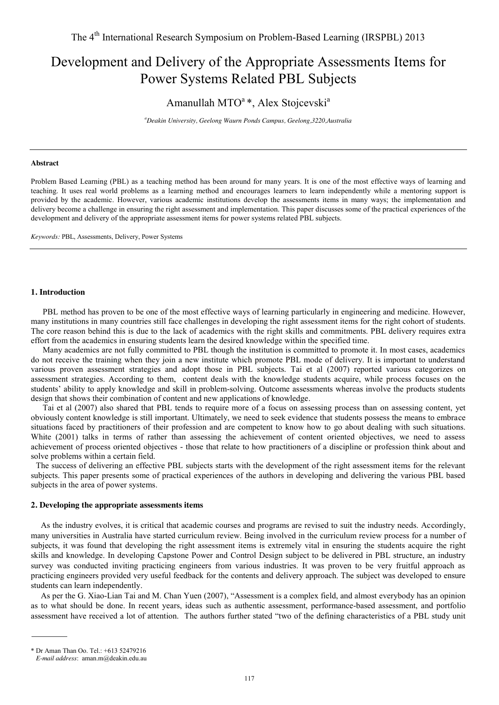# Development and Delivery of the Appropriate Assessments Items for Power Systems Related PBL Subjects

# Amanullah MTO $a^*$ , Alex Stojcevski<sup>a</sup>

*a Deakin University, Geelong Waurn Ponds Campus, Geelong,3220,Australia* 

#### **Abstract**

Problem Based Learning (PBL) as a teaching method has been around for many years. It is one of the most effective ways of learning and teaching. It uses real world problems as a learning method and encourages learners to learn independently while a mentoring support is provided by the academic. However, various academic institutions develop the assessments items in many ways; the implementation and delivery become a challenge in ensuring the right assessment and implementation. This paper discusses some of the practical experiences of the development and delivery of the appropriate assessment items for power systems related PBL subjects.

*Keywords:* PBL, Assessments, Delivery, Power Systems

#### **1. Introduction**

 PBL method has proven to be one of the most effective ways of learning particularly in engineering and medicine. However, many institutions in many countries still face challenges in developing the right assessment items for the right cohort of students. The core reason behind this is due to the lack of academics with the right skills and commitments. PBL delivery requires extra effort from the academics in ensuring students learn the desired knowledge within the specified time.

Many academics are not fully committed to PBL though the institution is committed to promote it. In most cases, academics do not receive the training when they join a new institute which promote PBL mode of delivery. It is important to understand various proven assessment strategies and adopt those in PBL subjects. Tai et al (2007) reported various categorizes on assessment strategies. According to them, content deals with the knowledge students acquire, while process focuses on the students' ability to apply knowledge and skill in problem-solving. Outcome assessments whereas involve the products students design that shows their combination of content and new applications of knowledge.

Tai et al (2007) also shared that PBL tends to require more of a focus on assessing process than on assessing content, yet obviously content knowledge is still important. Ultimately, we need to seek evidence that students possess the means to embrace situations faced by practitioners of their profession and are competent to know how to go about dealing with such situations. White (2001) talks in terms of rather than assessing the achievement of content oriented objectives, we need to assess achievement of process oriented objectives - those that relate to how practitioners of a discipline or profession think about and solve problems within a certain field.

The success of delivering an effective PBL subjects starts with the development of the right assessment items for the relevant subjects. This paper presents some of practical experiences of the authors in developing and delivering the various PBL based subjects in the area of power systems.

#### **2. Developing the appropriate assessments items**

As the industry evolves, it is critical that academic courses and programs are revised to suit the industry needs. Accordingly, many universities in Australia have started curriculum review. Being involved in the curriculum review process for a number of subjects, it was found that developing the right assessment items is extremely vital in ensuring the students acquire the right skills and knowledge. In developing Capstone Power and Control Design subject to be delivered in PBL structure, an industry survey was conducted inviting practicing engineers from various industries. It was proven to be very fruitful approach as practicing engineers provided very useful feedback for the contents and delivery approach. The subject was developed to ensure students can learn independently.

As per the G. Xiao-Lian Tai and M. Chan Yuen (2007), "Assessment is a complex field, and almost everybody has an opinion as to what should be done. In recent years, ideas such as authentic assessment, performance-based assessment, and portfolio assessment have received a lot of attention. The authors further stated "two of the defining characteristics of a PBL study unit

<sup>\*</sup> Dr Aman Than Oo. Tel.: +613 52479216

*E-mail address*: [aman.m@deakin.edu.au](mailto:aman.m@deakin.edu.au)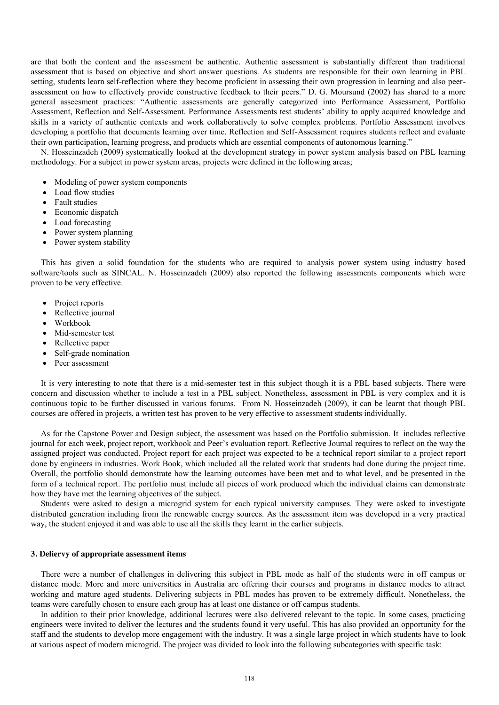are that both the content and the assessment be authentic. Authentic assessment is substantially different than traditional assessment that is based on objective and short answer questions. As students are responsible for their own learning in PBL setting, students learn self-reflection where they become proficient in assessing their own progression in learning and also peerassessment on how to effectively provide constructive feedback to their peers." D. G. Moursund (2002) has shared to a more general asseesment practices: "Authentic assessments are generally categorized into Performance Assessment, Portfolio Assessment, Reflection and Self-Assessment. Performance Assessments test students' ability to apply acquired knowledge and skills in a variety of authentic contexts and work collaboratively to solve complex problems. Portfolio Assessment involves developing a portfolio that documents learning over time. Reflection and Self-Assessment requires students reflect and evaluate their own participation, learning progress, and products which are essential components of autonomous learning."

N. Hosseinzadeh (2009) systematically looked at the development strategy in power system analysis based on PBL learning methodology. For a subject in power system areas, projects were defined in the following areas;

- Modeling of power system components
- Load flow studies
- Fault studies
- Economic dispatch
- Load forecasting
- Power system planning
- Power system stability

This has given a solid foundation for the students who are required to analysis power system using industry based software/tools such as SINCAL. N. Hosseinzadeh (2009) also reported the following assessments components which were proven to be very effective.

- Project reports
- Reflective journal
- Workbook
- Mid-semester test
- Reflective paper
- Self-grade nomination
- Peer assessment

It is very interesting to note that there is a mid-semester test in this subject though it is a PBL based subjects. There were concern and discussion whether to include a test in a PBL subject. Nonetheless, assessment in PBL is very complex and it is continuous topic to be further discussed in various forums. From N. Hosseinzadeh (2009), it can be learnt that though PBL courses are offered in projects, a written test has proven to be very effective to assessment students individually.

As for the Capstone Power and Design subject, the assessment was based on the Portfolio submission. It includes reflective journal for each week, project report, workbook and Peer's evaluation report. Reflective Journal requires to reflect on the way the assigned project was conducted. Project report for each project was expected to be a technical report similar to a project report done by engineers in industries. Work Book, which included all the related work that students had done during the project time. Overall, the portfolio should demonstrate how the learning outcomes have been met and to what level, and be presented in the form of a technical report. The portfolio must include all pieces of work produced which the individual claims can demonstrate how they have met the learning objectives of the subject.

Students were asked to design a microgrid system for each typical university campuses. They were asked to investigate distributed generation including from the renewable energy sources. As the assessment item was developed in a very practical way, the student enjoyed it and was able to use all the skills they learnt in the earlier subjects.

#### **3. Deliervy of appropriate assessment items**

There were a number of challenges in delivering this subject in PBL mode as half of the students were in off campus or distance mode. More and more universities in Australia are offering their courses and programs in distance modes to attract working and mature aged students. Delivering subjects in PBL modes has proven to be extremely difficult. Nonetheless, the teams were carefully chosen to ensure each group has at least one distance or off campus students.

In addition to their prior knowledge, additional lectures were also delivered relevant to the topic. In some cases, practicing engineers were invited to deliver the lectures and the students found it very useful. This has also provided an opportunity for the staff and the students to develop more engagement with the industry. It was a single large project in which students have to look at various aspect of modern microgrid. The project was divided to look into the following subcategories with specific task: